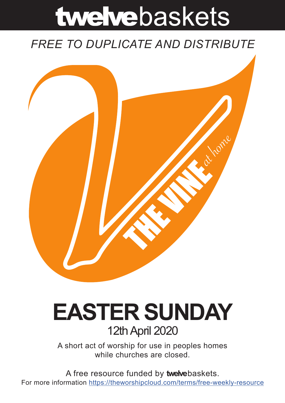# twelvebaskets

### *FREE TO DUPLICATE AND DISTRIBUTE*



## **EASTER SUNDAY** 12th April 2020

A short act of worship for use in peoples homes while churches are closed.

A free resource funded by **twelve**baskets. For more information https://theworshipcloud.com/terms/free-weekly-resource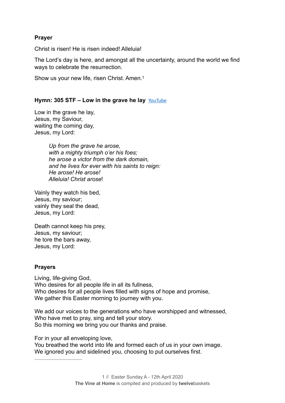#### **Prayer**

Christ is risen! He is risen indeed! Alleluia!

The Lord's day is here, and amongst all the uncertainty, around the world we find ways to celebrate the resurrection.

Show us your new life, risen Christ. Amen.1

#### Hymn: 305 STF – Low in the grave he lay **[YouTube](https://youtu.be/Vfm-cbpcVMI)**

Low in the grave he lay, Jesus, my Saviour, waiting the coming day, Jesus, my Lord:

> *Up from the grave he arose, with a mighty triumph o'er his foes; he arose a victor from the dark domain, and he lives for ever with his saints to reign: He arose! He arose! Alleluia! Christ arose*!

Vainly they watch his bed, Jesus, my saviour; vainly they seal the dead, Jesus, my Lord:

Death cannot keep his prey, Jesus, my saviour; he tore the bars away, Jesus, my Lord:

#### **Prayers**

Living, life-giving God, Who desires for all people life in all its fullness, Who desires for all people lives filled with signs of hope and promise, We gather this Easter morning to journey with you.

We add our voices to the generations who have worshipped and witnessed, Who have met to pray, sing and tell your story. So this morning we bring you our thanks and praise.

For in your all enveloping love,

You breathed the world into life and formed each of us in your own image. We ignored you and sidelined you, choosing to put ourselves first.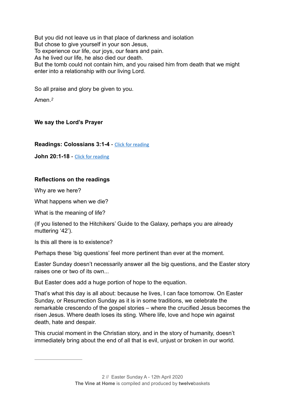But you did not leave us in that place of darkness and isolation But chose to give yourself in your son Jesus, To experience our life, our joys, our fears and pain. As he lived our life, he also died our death. But the tomb could not contain him, and you raised him from death that we might enter into a relationship with our living Lord.

So all praise and glory be given to you.

Amen.*<sup>2</sup>*

#### **We say the Lord's Prayer**

**Readings: Colossians 3:1-4** - [Click for reading](https://www.biblegateway.com/passage/?search=Colossians+3:1-4&version=NRSV)

**John 20:1-18** - [Click for reading](https://www.biblegateway.com/passage/?search=John+20:1-18+&version=NRSV)

#### **Reflections on the readings**

Why are we here?

What happens when we die?

What is the meaning of life?

(If you listened to the Hitchikers' Guide to the Galaxy, perhaps you are already muttering '42').

Is this all there is to existence?

Perhaps these 'big questions' feel more pertinent than ever at the moment.

Easter Sunday doesn't necessarily answer all the big questions, and the Easter story raises one or two of its own...

But Easter does add a huge portion of hope to the equation.

That's what this day is all about: because he lives, I can face tomorrow. On Easter Sunday, or Resurrection Sunday as it is in some traditions, we celebrate the remarkable crescendo of the gospel stories – where the crucified Jesus becomes the risen Jesus. Where death loses its sting. Where life, love and hope win against death, hate and despair.

This crucial moment in the Christian story, and in the story of humanity, doesn't immediately bring about the end of all that is evil, unjust or broken in our world.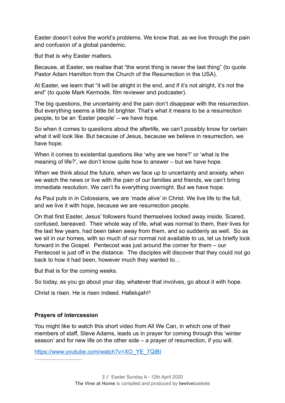Easter doesn't solve the world's problems. We know that, as we live through the pain and confusion of a global pandemic.

But that is why Easter matters.

Because, at Easter, we realise that "the worst thing is never the last thing" (to quote Pastor Adam Hamilton from the Church of the Resurrection in the USA).

At Easter, we learn that "it will be alright in the end, and if it's not alright, it's not the end" (to quote Mark Kermode, film reviewer and podcaster).

The big questions, the uncertainty and the pain don't disappear with the resurrection. But everything seems a little bit brighter. That's what it means to be a resurrection people, to be an 'Easter people' – we have hope.

So when it comes to questions about the afterlife, we can't possibly know for certain what it will look like. But because of Jesus, because we believe in resurrection, we have hope.

When it comes to existential questions like 'why are we here?' or 'what is the meaning of life?', we don't know quite how to answer – but we have hope.

When we think about the future, when we face up to uncertainty and anxiety, when we watch the news or live with the pain of our families and friends, we can't bring immediate resolution. We can't fix everything overnight. But we have hope.

As Paul puts in in Colossians, we are 'made alive' in Christ. We live life to the full, and we live it with hope, because we are resurrection people.

On that first Easter, Jesus' followers found themselves locked away inside. Scared, confused, bereaved. Their whole way of life, what was normal to them, their lives for the last few years, had been taken away from them, and so suddenly as well. So as we sit in our homes, with so much of our normal not available to us, let us briefly look forward in the Gospel. Pentecost was just around the corner for them – our Pentecost is just off in the distance. The disciples will discover that they could not go back to how it had been, however much they wanted to…

But that is for the coming weeks.

So today, as you go about your day, whatever that involves, go about it with hope.

Christ is risen. He is risen indeed. Hallelujah!3

#### **Prayers of intercession**

You might like to watch this short video from All We Can, in which one of their members of staff, Steve Adams, leads us in prayer for coming through this 'winter season' and for new life on the other side – a prayer of resurrection, if you will.

[https://www.youtube.com/watch?v=XO\\_YE\\_7QiBI](https://www.youtube.com/watch?v=XO_YE_7QiBI)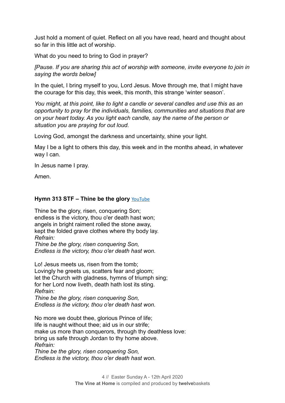Just hold a moment of quiet. Reflect on all you have read, heard and thought about so far in this little act of worship.

What do you need to bring to God in prayer?

*[Pause. If you are sharing this act of worship with someone, invite everyone to join in saying the words below]* 

In the quiet, I bring myself to you, Lord Jesus. Move through me, that I might have the courage for this day, this week, this month, this strange 'winter season'.

*You might, at this point, like to light a candle or several candles and use this as an opportunity to pray for the individuals, families, communities and situations that are on your heart today. As you light each candle, say the name of the person or situation you are praying for out loud.* 

Loving God, amongst the darkness and uncertainty, shine your light.

May I be a light to others this day, this week and in the months ahead, in whatever way I can.

In Jesus name I pray.

Amen.

#### **Hymn 313 STF – Thine be the glory** [YouTube](https://youtu.be/TwmZ8x_2TPE)

Thine be the glory, risen, conquering Son; endless is the victory, thou o'er death hast won; angels in bright raiment rolled the stone away, kept the folded grave clothes where thy body lay. *Refrain:* 

*Thine be the glory, risen conquering Son, Endless is the victory, thou o'er death hast won.*

Lo! Jesus meets us, risen from the tomb; Lovingly he greets us, scatters fear and gloom; let the Church with gladness, hymns of triumph sing; for her Lord now liveth, death hath lost its sting. *Refrain: Thine be the glory, risen conquering Son,* 

*Endless is the victory, thou o'er death hast won.*

No more we doubt thee, glorious Prince of life; life is naught without thee; aid us in our strife; make us more than conquerors, through thy deathless love: bring us safe through Jordan to thy home above. *Refrain:* 

*Thine be the glory, risen conquering Son, Endless is the victory, thou o'er death hast won.*